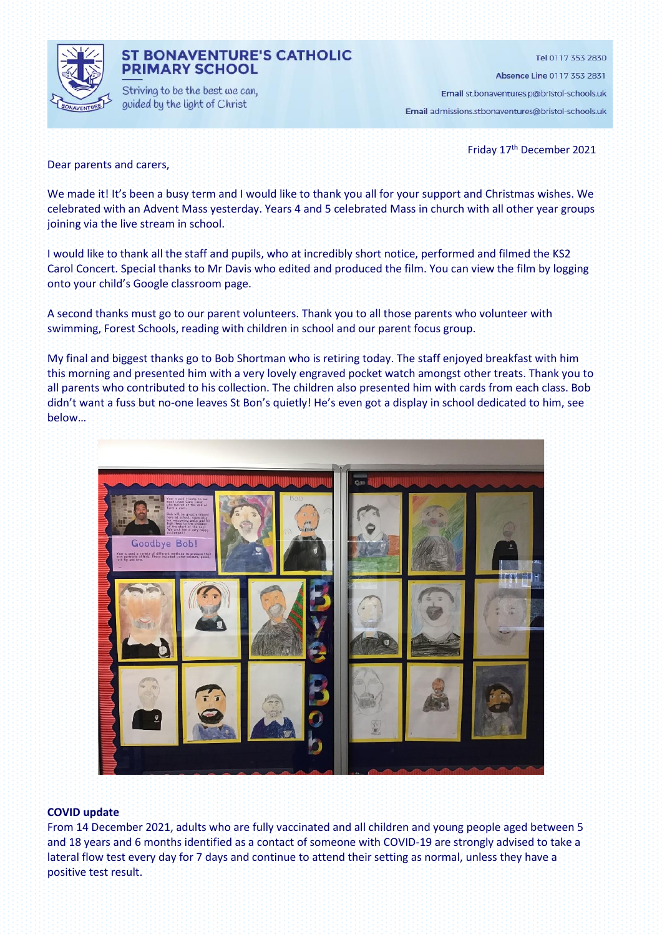

## **ST BONAVENTURE'S CATHOLIC PRIMARY SCHOOL**

Striving to be the best we can, guided by the light of Christ

Tel 0117 353 2830

Absence Line 0117 353 2831

Email st.bonaventures.p@bristol-schools.uk Email admissions.stbonaventures@bristol-schools.uk

Friday 17 th December 2021

Dear parents and carers,

We made it! It's been a busy term and I would like to thank you all for your support and Christmas wishes. We celebrated with an Advent Mass yesterday. Years 4 and 5 celebrated Mass in church with all other year groups joining via the live stream in school.

I would like to thank all the staff and pupils, who at incredibly short notice, performed and filmed the KS2 Carol Concert. Special thanks to Mr Davis who edited and produced the film. You can view the film by logging onto your child's Google classroom page.

A second thanks must go to our parent volunteers. Thank you to all those parents who volunteer with swimming, Forest Schools, reading with children in school and our parent focus group.

My final and biggest thanks go to Bob Shortman who is retiring today. The staff enjoyed breakfast with him this morning and presented him with a very lovely engraved pocket watch amongst other treats. Thank you to all parents who contributed to his collection. The children also presented him with cards from each class. Bob didn't want a fuss but no-one leaves St Bon's quietly! He's even got a display in school dedicated to him, see below…



#### **COVID update**

From 14 December 2021, adults who are fully vaccinated and all children and young people aged between 5 and 18 years and 6 months identified as a contact of someone with COVID-19 are strongly advised to take a lateral flow test every day for 7 days and continue to attend their setting as normal, unless they have a positive test result.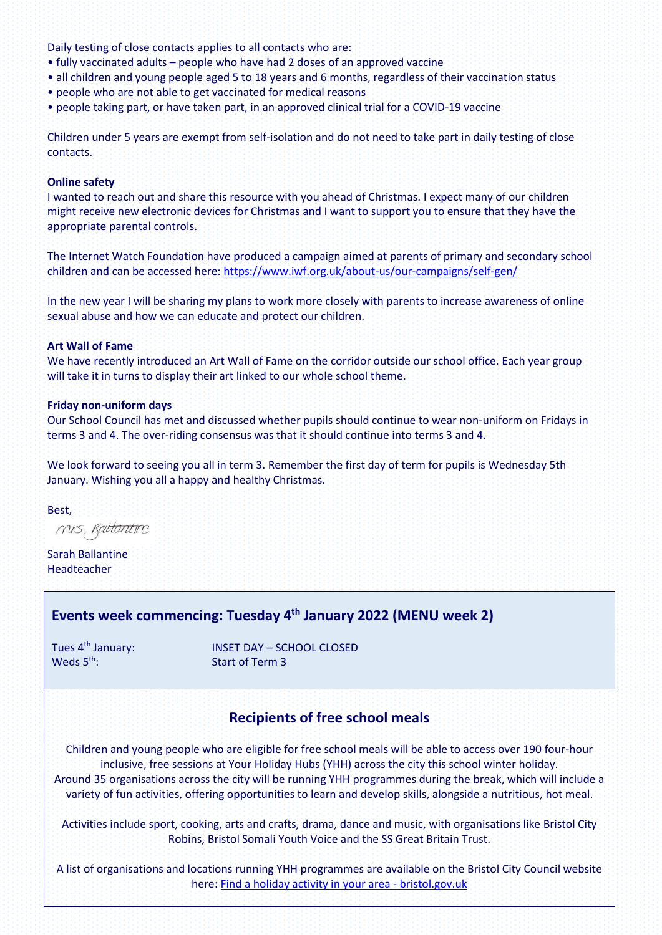Daily testing of close contacts applies to all contacts who are:

- fully vaccinated adults people who have had 2 doses of an approved vaccine
- all children and young people aged 5 to 18 years and 6 months, regardless of their vaccination status
- people who are not able to get vaccinated for medical reasons
- people taking part, or have taken part, in an approved clinical trial for a COVID-19 vaccine

Children under 5 years are exempt from self-isolation and do not need to take part in daily testing of close contacts.

#### **Online safety**

I wanted to reach out and share this resource with you ahead of Christmas. I expect many of our children might receive new electronic devices for Christmas and I want to support you to ensure that they have the appropriate parental controls.

The Internet Watch Foundation have produced a campaign aimed at parents of primary and secondary school children and can be accessed here:<https://www.iwf.org.uk/about-us/our-campaigns/self-gen/>

In the new year I will be sharing my plans to work more closely with parents to increase awareness of online sexual abuse and how we can educate and protect our children.

### **Art Wall of Fame**

We have recently introduced an Art Wall of Fame on the corridor outside our school office. Each year group will take it in turns to display their art linked to our whole school theme.

### **Friday non-uniform days**

Our School Council has met and discussed whether pupils should continue to wear non-uniform on Fridays in terms 3 and 4. The over-riding consensus was that it should continue into terms 3 and 4.

We look forward to seeing you all in term 3. Remember the first day of term for pupils is Wednesday 5th January. Wishing you all a happy and healthy Christmas.

Best,

mis, Rattantire

Sarah Ballantine Headteacher

# **Events week commencing: Tuesday 4 th January 2022 (MENU week 2)**

Weds 5<sup>th</sup>:

Tues 4<sup>th</sup> January: **INSET DAY – SCHOOL CLOSED** Start of Term 3

# **Recipients of free school meals**

Children and young people who are eligible for free school meals will be able to access over 190 four-hour inclusive, free sessions at Your Holiday Hubs (YHH) across the city this school winter holiday. Around 35 organisations across the city will be running YHH programmes during the break, which will include a variety of fun activities, offering opportunities to learn and develop skills, alongside a nutritious, hot meal.

Activities include sport, cooking, arts and crafts, drama, dance and music, with organisations like Bristol City Robins, Bristol Somali Youth Voice and the SS Great Britain Trust.

A list of organisations and locations running YHH programmes are available on the Bristol City Council website here: [Find a holiday activity in your area -](https://www.bristol.gov.uk/people-communities/find-a-holiday-activity) bristol.gov.uk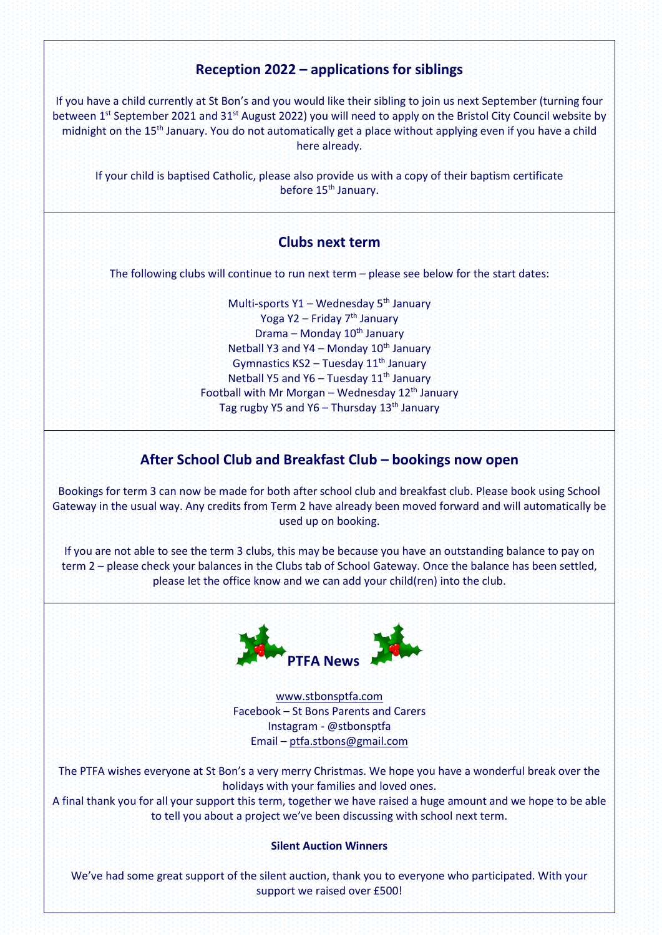# **Reception 2022 – applications for siblings**

If you have a child currently at St Bon's and you would like their sibling to join us next September (turning four between 1<sup>st</sup> September 2021 and 31<sup>st</sup> August 2022) you will need to apply on the Bristol City Council website by midnight on the 15<sup>th</sup> January. You do not automatically get a place without applying even if you have a child here already.

If your child is baptised Catholic, please also provide us with a copy of their baptism certificate before 15<sup>th</sup> January.

## **Clubs next term**

The following clubs will continue to run next term – please see below for the start dates:

Multi-sports  $Y1 - Wednesdav 5<sup>th</sup> Januarv$ Yoga Y2 – Friday 7<sup>th</sup> January Drama – Monday 10<sup>th</sup> January Netball Y3 and Y4 – Monday  $10<sup>th</sup>$  January Gymnastics  $KS2 - Tuesday 11<sup>th</sup> January$ Netball Y5 and Y6 – Tuesday  $11<sup>th</sup>$  January Football with Mr Morgan – Wednesday  $12<sup>th</sup>$  January Tag rugby Y5 and Y6 – Thursday  $13<sup>th</sup>$  January

# **After School Club and Breakfast Club – bookings now open**

Bookings for term 3 can now be made for both after school club and breakfast club. Please book using School Gateway in the usual way. Any credits from Term 2 have already been moved forward and will automatically be used up on booking.

If you are not able to see the term 3 clubs, this may be because you have an outstanding balance to pay on term 2 – please check your balances in the Clubs tab of School Gateway. Once the balance has been settled, please let the office know and we can add your child(ren) into the club.



[www.stbonsptfa.com](file:///C:/Users/sophi/Documents/Personal/PTFA/www.stbonsptfa.com) Facebook – St Bons Parents and Carers Instagram - @stbonsptfa Email – [ptfa.stbons@gmail.com](mailto:ptfa.stbons@gmail.com)

The PTFA wishes everyone at St Bon's a very merry Christmas. We hope you have a wonderful break over the holidays with your families and loved ones.

A final thank you for all your support this term, together we have raised a huge amount and we hope to be able to tell you about a project we've been discussing with school next term.

#### **Silent Auction Winners**

We've had some great support of the silent auction, thank you to everyone who participated. With your support we raised over £500!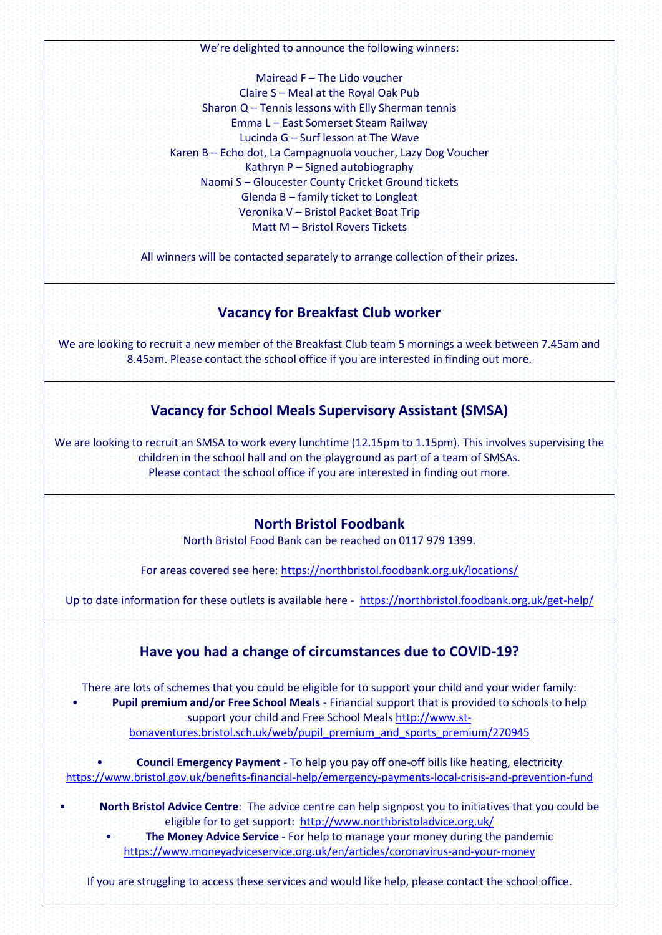We're delighted to announce the following winners:

Mairead F – The Lido voucher Claire S – Meal at the Royal Oak Pub Sharon Q – Tennis lessons with Elly Sherman tennis Emma L – East Somerset Steam Railway Lucinda G – Surf lesson at The Wave Karen B – Echo dot, La Campagnuola voucher, Lazy Dog Voucher Kathryn P – Signed autobiography Naomi S – Gloucester County Cricket Ground tickets Glenda B – family ticket to Longleat Veronika V – Bristol Packet Boat Trip Matt M – Bristol Rovers Tickets

All winners will be contacted separately to arrange collection of their prizes.

## **Vacancy for Breakfast Club worker**

We are looking to recruit a new member of the Breakfast Club team 5 mornings a week between 7.45am and 8.45am. Please contact the school office if you are interested in finding out more.

# **Vacancy for School Meals Supervisory Assistant (SMSA)**

We are looking to recruit an SMSA to work every lunchtime (12.15pm to 1.15pm). This involves supervising the children in the school hall and on the playground as part of a team of SMSAs. Please contact the school office if you are interested in finding out more.

### **North Bristol Foodbank**

North Bristol Food Bank can be reached on 0117 979 1399.

For areas covered see here[: https://northbristol.foodbank.org.uk/locations/](https://northbristol.foodbank.org.uk/locations/)

Up to date information for these outlets is available here -<https://northbristol.foodbank.org.uk/get-help/>

### **Have you had a change of circumstances due to COVID-19?**

There are lots of schemes that you could be eligible for to support your child and your wider family: • **Pupil premium and/or Free School Meals** - Financial support that is provided to schools to help support your child and Free School Meals [http://www.st](http://www.st-bonaventures.bristol.sch.uk/web/pupil_premium_and_sports_premium/270945)[bonaventures.bristol.sch.uk/web/pupil\\_premium\\_and\\_sports\\_premium/270945](http://www.st-bonaventures.bristol.sch.uk/web/pupil_premium_and_sports_premium/270945)

• **Council Emergency Payment** - To help you pay off one-off bills like heating, electricity <https://www.bristol.gov.uk/benefits-financial-help/emergency-payments-local-crisis-and-prevention-fund>

- **North Bristol Advice Centre**: The advice centre can help signpost you to initiatives that you could be eligible for to get support: <http://www.northbristoladvice.org.uk/>
	- **The Money Advice Service** For help to manage your money during the pandemic <https://www.moneyadviceservice.org.uk/en/articles/coronavirus-and-your-money>

If you are struggling to access these services and would like help, please contact the school office.